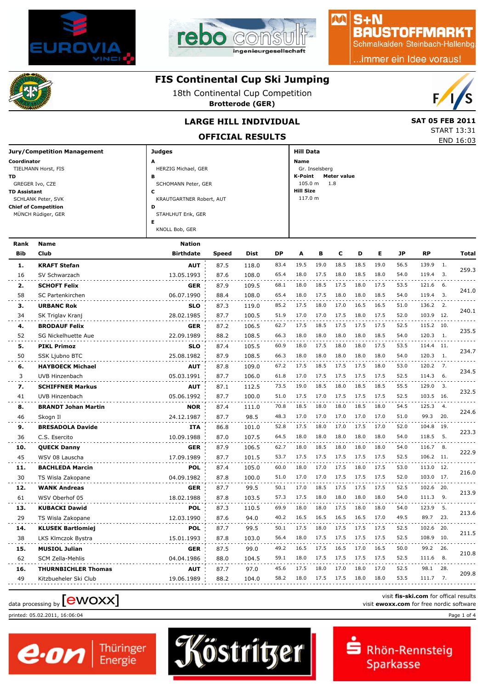



# $S + N$ **BAUSTOFFMARKT**

小八

Schmalkalden Steinbach-Hallenbg

..immer ein Idee voraus!



### **FIS Continental Cup Ski Jumping**

18th Continental Cup Competition

**Brotterode (GER)**



START 13:31

### **LARGE HILL INDIVIDUAL** SAT 05 FEB 2011

**OFFICIAL RESULTS** END 16:03

| <b>Jury/Competition Management</b> | <b>Judges</b>            | Hill Data              |
|------------------------------------|--------------------------|------------------------|
| Coordinator                        | A                        | <b>Name</b>            |
| TIELMANN Horst, FIS                | HERZIG Michael, GER      | Gr. Inselsberg         |
| TD.                                | в                        | K-Point<br>Meter value |
| GREGER Ivo, CZE                    | SCHOMANN Peter, GER      | $105.0 m$ 1.8          |
| <b>TD Assistant</b>                | c                        | <b>Hill Size</b>       |
| SCHLANK Peter, SVK                 | KRAUTGARTNER Robert, AUT | 117.0 m                |
| <b>Chief of Competition</b>        | D                        |                        |
| MÜNCH Rüdiger, GER                 | STAHLHUT Erik, GER       |                        |
|                                    | Е                        |                        |
|                                    | KNOLL Bob, GER           |                        |
|                                    |                          |                        |

| <b>Name</b>                | <b>Nation</b>    |       |             |           |      |      |      |      |      |      |           |                  |                                                                                                                                                                                                  |
|----------------------------|------------------|-------|-------------|-----------|------|------|------|------|------|------|-----------|------------------|--------------------------------------------------------------------------------------------------------------------------------------------------------------------------------------------------|
| <b>Club</b>                | <b>Birthdate</b> | Speed | <b>Dist</b> | <b>DP</b> | A    | в    | c    | D    | Е    | JP   | <b>RP</b> |                  | Total                                                                                                                                                                                            |
| <b>KRAFT Stefan</b>        | <b>AUT</b>       | 87.5  | 118.0       | 83.4      | 19.5 | 19.0 | 18.5 | 18.5 | 19.0 | 56.5 | 139.9     | $\overline{1}$ . |                                                                                                                                                                                                  |
| SV Schwarzach              | 13.05.1993       | 87.6  | 108.0       | 65.4      | 18.0 | 17.5 | 18.0 | 18.5 | 18.0 | 54.0 | 119.4     |                  | 259.3                                                                                                                                                                                            |
| <b>SCHOFT Felix</b>        | <b>GER</b>       | 87.9  | 109.5       | 68.1      | 18.0 | 18.5 | 17.5 | 18.0 | 17.5 | 53.5 |           |                  |                                                                                                                                                                                                  |
| SC Partenkirchen           | 06.07.1990       | 88.4  | 108.0       | 65.4      | 18.0 | 17.5 | 18.0 | 18.0 | 18.5 | 54.0 | 119.4     | $\overline{3}$ . | 241.0                                                                                                                                                                                            |
| <b>URBANC Rok</b>          | <b>SLO</b>       | 87.3  | 119.0       | 85.2      | 17.5 | 18.0 | 17.0 | 16.5 | 16.5 | 51.0 | 136.2     | 2.               |                                                                                                                                                                                                  |
| SK Triglav Kranj           | 28.02.1985       | 87.7  | 100.5       | 51.9      | 17.0 | 17.0 | 17.5 | 18.0 | 17.5 | 52.0 |           |                  | 240.1                                                                                                                                                                                            |
| <b>BRODAUF Felix</b>       | <b>GER</b>       | 87.2  | 106.5       | 62.7      | 17.5 | 18.5 | 17.5 | 17.5 | 17.5 | 52.5 |           |                  |                                                                                                                                                                                                  |
| SG Nickelhuette Aue        | 22.09.1989       | 88.2  | 108.5       | 66.3      | 18.0 | 18.0 | 18.0 | 18.0 | 18.5 | 54.0 |           |                  | 235.5                                                                                                                                                                                            |
| <b>PIKL Primoz</b>         | <b>SLO</b>       | 87.4  | 105.5       | 60.9      | 18.0 | 17.5 | 18.0 | 18.0 | 17.5 | 53.5 |           |                  |                                                                                                                                                                                                  |
| <b>SSK Ljubno BTC</b>      | 25.08.1982       | 87.9  | 108.5       | 66.3      | 18.0 | 18.0 | 18.0 | 18.0 | 18.0 | 54.0 | 120.3     | $\overline{1}$ . | 234.7                                                                                                                                                                                            |
| <b>HAYBOECK Michael</b>    | <b>AUT</b>       | 87.8  | 109.0       | 67.2      | 17.5 | 18.5 | 17.5 | 17.5 | 18.0 | 53.0 | 120.2     | 7.               |                                                                                                                                                                                                  |
| UVB Hinzenbach             | 05.03.1991       | 87.7  | 106.0       | 61.8      | 17.0 | 17.5 | 17.5 | 17.5 | 17.5 | 52.5 | 114.3     | 6.               | 234.5                                                                                                                                                                                            |
| <b>SCHIFFNER Markus</b>    | <b>AUT</b>       | 87.1  | 112.5       | 73.5      | 19.0 | 18.5 | 18.0 | 18.5 | 18.5 | 55.5 |           |                  |                                                                                                                                                                                                  |
| UVB Hinzenbach             | 05.06.1992       | 87.7  | 100.0       | 51.0      | 17.5 | 17.0 | 17.5 | 17.5 | 17.5 | 52.5 |           |                  | 232.5                                                                                                                                                                                            |
| <b>BRANDT Johan Martin</b> | <b>NOR</b>       | 87.4  | 111.0       | 70.8      | 18.5 | 18.0 | 18.0 | 18.5 | 18.0 | 54.5 | 125.3     | 4.               |                                                                                                                                                                                                  |
| Skogn II                   | 24.12.1987       | 87.7  | 98.5        | 48.3      | 17.0 | 17.0 | 17.0 | 17.0 | 17.0 | 51.0 | 99.3      | 20.              | 224.6                                                                                                                                                                                            |
| <b>BRESADOLA Davide</b>    | <b>ITA</b>       | 86.8  | 101.0       | 52.8      | 17.5 | 18.0 | 17.0 | 17.5 | 17.0 | 52.0 |           |                  | 223.3                                                                                                                                                                                            |
| C.S. Esercito              | 10.09.1988       | 87.0  | 107.5       | 64.5      | 18.0 | 18.0 | 18.0 | 18.0 | 18.0 | 54.0 | 118.5     | 5.               |                                                                                                                                                                                                  |
| <b>QUECK Danny</b>         | <b>GER</b>       | 87.9  | 106.5       | 62.7      | 18.0 | 18.5 | 18.0 | 18.0 | 18.0 | 54.0 | 116.7     | 8.               |                                                                                                                                                                                                  |
| WSV 08 Lauscha             | 17.09.1989       | 87.7  | 101.5       | 53.7      | 17.5 | 17.5 | 17.5 | 17.5 | 17.5 | 52.5 |           |                  | 222.9                                                                                                                                                                                            |
| <b>BACHLEDA Marcin</b>     | POL              | 87.4  | 105.0       | 60.0      | 18.0 | 17.0 | 17.5 | 18.0 | 17.5 | 53.0 |           |                  | 216.0                                                                                                                                                                                            |
| TS Wisla Zakopane          | 04.09.1982       | 87.8  | 100.0       | 51.0      | 17.0 | 17.0 | 17.5 | 17.5 | 17.5 | 52.0 |           |                  |                                                                                                                                                                                                  |
| <b>WANK Andreas</b>        | <b>GER</b>       | 87.7  | 99.5        | 50.1      | 17.0 | 18.5 | 17.5 | 17.5 | 17.5 | 52.5 | 102.6     | 20.              | 213.9                                                                                                                                                                                            |
| WSV Oberhof 05             | 18.02.1988       | 87.8  | 103.5       | 57.3      | 17.5 | 18.0 | 18.0 | 18.0 | 18.0 | 54.0 | 111.3     | 9.               |                                                                                                                                                                                                  |
| <b>KUBACKI Dawid</b>       | <b>POL</b>       | 87.3  | 110.5       | 69.9      | 18.0 | 18.0 | 17.5 | 18.0 | 18.0 | 54.0 | 123.9     | 5.               | 213.6                                                                                                                                                                                            |
| TS Wisla Zakopane          | 12.03.1990       | 87.6  | 94.0        | 40.2      | 16.5 | 16.5 | 16.5 | 16.5 | 17.0 | 49.5 | 89.7      | 23.              |                                                                                                                                                                                                  |
| <b>KLUSEK Bartlomiej</b>   | <b>POL</b>       | 87.7  | 99.5        | 50.1      | 17.5 | 18.0 | 17.5 | 17.5 | 17.5 | 52.5 |           |                  | 211.5                                                                                                                                                                                            |
| LKS Klmczok Bystra         | 15.01.1993       | 87.8  | 103.0       | 56.4      | 18.0 | 17.5 | 17.5 | 17.5 | 17.5 | 52.5 | 108.9     | 10.              |                                                                                                                                                                                                  |
| <b>MUSIOL Julian</b>       | <b>GER</b>       | 87.5  | 99.0        | 49.2      | 16.5 | 17.5 | 16.5 | 17.0 | 16.5 | 50.0 | 99.2      | 26.              | 210.8                                                                                                                                                                                            |
| <b>SCM Zella-Mehlis</b>    | 04.04.1986       | 88.0  | 104.5       | 59.1      | 18.0 | 17.5 | 17.5 | 17.5 | 17.5 | 52.5 | 111.6     | 8.               |                                                                                                                                                                                                  |
| <b>THURNBICHLER Thomas</b> | <b>AUT</b>       | 87.7  | 97.0        | 45.6      | 17.5 | 18.0 | 17.0 | 18.0 | 17.0 | 52.5 | 98.1      | 28.              | 209.8                                                                                                                                                                                            |
| Kitzbueheler Ski Club      | 19.06.1989       | 88.2  | 104.0       | 58.2      | 18.0 | 17.5 | 17.5 | 18.0 | 18.0 | 53.5 |           |                  |                                                                                                                                                                                                  |
|                            |                  |       |             |           |      |      |      |      |      |      |           |                  | $\overline{\phantom{a}}$ 3.<br>121.6 6.<br>103.9 12.<br>115.2 10.<br>120.3 1.<br>114.4 11.<br>129.0 3.<br>103.5 16.<br>104.8 19.<br>106.2 11.<br>113.0 12.<br>103.0 17.<br>102.6 20.<br>111.7 7. |

Thüringer<br>Energie

printed: 05.02.2011, 16:06:04 Page 1 of 4

e.on



visit **fis-ski.com** for offical results visit fis-ski.com for offical results<br>visit **ewoxx.com** for free nordic software<br>visit **ewoxx.com** for free nordic software

Rhön-Rennsteig

Sparkasse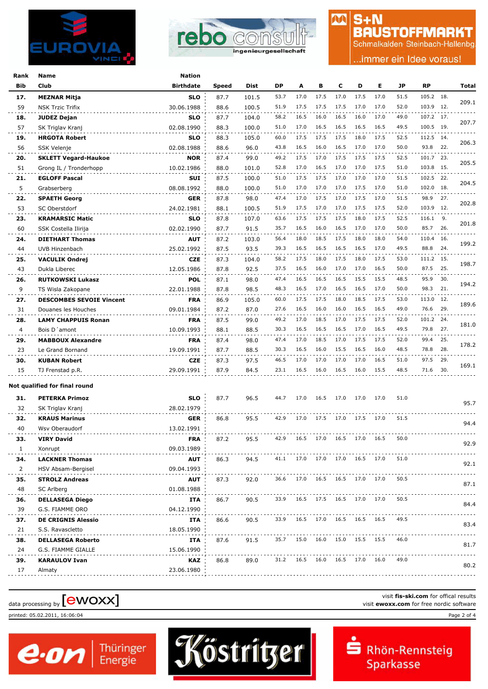



## $S + N$ **BAUSTOFFMARKT**

M

Schmalkalden Steinbach-Hallenbg

.immer ein Idee voraus!

| Rank     | Name                                       | <b>Nation</b>            |       |       |      |                               |      |      |      |                                    |      |           |     |       |
|----------|--------------------------------------------|--------------------------|-------|-------|------|-------------------------------|------|------|------|------------------------------------|------|-----------|-----|-------|
| Bib      | Club                                       | <b>Birthdate</b>         | Speed | Dist  | DP   | A                             | в    | c    | D    | Е                                  | JP   | <b>RP</b> |     | Total |
| 17.      | <b>MEZNAR Mitja</b>                        | <b>SLO</b>               | 87.7  | 101.5 | 53.7 | 17.0                          | 17.5 | 17.0 | 17.5 | 17.0                               | 51.5 | 105.2 18. |     |       |
| 59       | NSK Trzic Trifix                           | 30.06.1988               | 88.6  | 100.5 | 51.9 | 17.5                          | 17.5 | 17.5 | 17.0 | 17.0                               | 52.0 | 103.9 12. |     | 209.1 |
| 18.      | JUDEZ Dejan                                | <b>SLO</b>               | 87.7  | 104.0 | 58.2 | 16.5                          | 16.0 | 16.5 | 16.0 | 17.0                               | 49.0 | 107.2 17. |     |       |
| 57       | SK Triglav Kranj                           | 02.08.1990               | 88.3  | 100.0 | 51.0 | 17.0                          | 16.5 | 16.5 | 16.5 | 16.5                               | 49.5 | 100.5 19. |     | 207.7 |
| 19.      | <b>HRGOTA Robert</b>                       | <b>SLO</b>               | 88.3  | 105.0 | 60.0 | 17.5                          | 17.5 | 17.5 | 18.0 | 17.5                               | 52.5 | 112.5 14. |     |       |
| 56       | SSK Velenje                                | 02.08.1988               | 88.6  | 96.0  | 43.8 | 16.5                          | 16.0 | 16.5 | 17.0 | 17.0                               | 50.0 | 93.8      | 22. | 206.3 |
| 20.      | <b>SKLETT Vegard-Haukoe</b>                | <b>NOR</b>               | 87.4  | 99.0  | 49.2 | 17.5                          | 17.0 | 17.5 | 17.5 | 17.5                               | 52.5 | 101.7     | 23. |       |
| 51       | Grong IL / Tronderhopp                     | 10.02.1986               | 88.0  | 101.0 | 52.8 | 17.0                          | 16.5 | 17.0 | 17.0 | 17.5                               | 51.0 | 103.8 15. |     | 205.5 |
| 21.      | <b>EGLOFF Pascal</b>                       | SUI                      | 87.5  | 100.0 | 51.0 | 17.5                          | 17.5 | 17.0 | 17.0 | 17.0                               | 51.5 | 102.5 22. |     |       |
| 5        | Grabserberg                                | 08.08.1992               | 88.0  | 100.0 | 51.0 | 17.0                          | 17.0 | 17.0 | 17.5 | 17.0                               | 51.0 | 102.0 18. |     | 204.5 |
| 22.      | <b>SPAETH Georg</b>                        | <b>GER</b>               | 87.8  | 98.0  | 47.4 | 17.0                          | 17.5 | 17.0 | 17.5 | 17.0                               | 51.5 | 98.9      | 27. |       |
| 53       | SC Oberstdorf                              | 24.02.1981               | 88.1  | 100.5 | 51.9 | 17.5                          | 17.0 | 17.0 | 17.5 | 17.5                               | 52.0 | 103.9 12. |     | 202.8 |
| 23.      | <b>KRAMARSIC Matic</b>                     | <b>SLO</b>               | 87.8  | 107.0 | 63.6 | 17.5                          | 17.5 | 17.5 | 18.0 | 17.5                               | 52.5 | 116.1 9.  |     |       |
| 60       | SSK Costella Ilirija                       | 02.02.1990               | 87.7  | 91.5  | 35.7 | 16.5                          | 16.0 | 16.5 | 17.0 | 17.0                               | 50.0 | 85.7      | 26. | 201.8 |
| 24.      | <b>DIETHART Thomas</b>                     | <b>AUT</b>               | 87.2  | 103.0 | 56.4 | 18.0                          | 18.5 | 17.5 | 18.0 | 18.0                               | 54.0 | 110.4 16. |     |       |
| 44       | UVB Hinzenbach                             | 25.02.1992               | 87.5  | 93.5  | 39.3 | 16.5                          | 16.5 | 16.5 | 16.5 | 17.0                               | 49.5 | 88.8      | 24. | 199.2 |
| 25.      | <b>VACULIK Ondrej</b>                      | <b>CZE</b>               | 87.3  | 104.0 | 58.2 | 17.5                          | 18.0 | 17.5 | 18.0 | 17.5                               | 53.0 | 111.2 15. |     |       |
| 43       | Dukla Liberec                              | 12.05.1986               | 87.8  | 92.5  | 37.5 | 16.5                          | 16.0 | 17.0 | 17.0 | 16.5                               | 50.0 | 87.5      | 25. | 198.7 |
| 26.      | <b>RUTKOWSKI Lukasz</b>                    | <b>POL</b>               | 87.1  | 98.0  | 47.4 | 16.5                          | 16.5 | 16.5 | 15.5 | 15.5                               | 48.5 | 95.9      | 30. |       |
| 9        | TS Wisla Zakopane                          | 22.01.1988               | 87.8  | 98.5  | 48.3 | 16.5                          | 17.0 | 16.5 | 16.5 | 17.0                               | 50.0 | 98.3      | 21. | 194.2 |
| 27.      | <b>DESCOMBES SEVOIE Vincent</b>            | <b>FRA</b>               | 86.9  | 105.0 | 60.0 | 17.5                          | 17.5 | 18.0 | 18.5 | 17.5                               | 53.0 | 113.0     | 12. |       |
| 31       | Douanes les Houches                        | 09.01.1984               | 87.2  | 87.0  | 27.6 | 16.5                          | 16.0 | 16.0 | 16.5 | 16.5                               | 49.0 | 76.6      | 29. | 189.6 |
|          |                                            |                          | 87.5  | 99.0  | 49.2 | 17.0                          | 18.5 | 17.0 | 17.5 | 17.5                               | 52.0 | 101.2     | 24. |       |
| 28.<br>4 | <b>LAMY CHAPPUIS Ronan</b><br>Bois D'amont | <b>FRA</b><br>10.09.1993 | 88.1  | 88.5  | 30.3 | 16.5                          | 16.5 | 16.5 | 17.0 | 16.5                               | 49.5 | 79.8      | 27. | 181.0 |
| 29.      | <b>MABBOUX Alexandre</b>                   | <b>FRA</b>               | 87.4  | 98.0  | 47.4 | 17.0                          | 18.5 | 17.0 | 17.5 | 17.5                               | 52.0 | 99.4      | 25. |       |
| 23       | Le Grand Bornand                           | 19.09.1991               | 87.7  | 88.5  | 30.3 | 16.5                          | 16.0 | 15.5 | 16.5 | 16.0                               | 48.5 | 78.8      | 28. | 178.2 |
| 30.      | <b>KUBAN Robert</b>                        | <b>CZE</b>               | 87.3  | 97.5  | 46.5 | 17.0                          | 17.0 | 17.0 | 17.0 | 16.5                               | 51.0 | 97.5      | 29. |       |
| 15       | TJ Frenstad p.R.                           | 29.09.1991               | 87.9  | 84.5  | 23.1 | 16.5                          | 16.0 | 16.5 | 16.0 | 15.5                               | 48.5 | 71.6      | 30. | 169.1 |
|          |                                            |                          |       |       |      |                               |      |      |      |                                    |      |           |     |       |
|          | Not qualified for final round              |                          |       |       |      |                               |      |      |      |                                    |      |           |     |       |
| 31.      | <b>PETERKA Primoz</b>                      | <b>SLO</b>               | 87.7  | 96.5  | 44.7 | 17.0                          | 16.5 | 17.0 | 17.0 | 17.0                               | 51.0 |           |     |       |
| 32       | SK Triglav Kranj                           | 28.02.1979               |       |       |      |                               |      |      |      |                                    |      |           |     | 95.7  |
| 32.      | <b>KRAUS Marinus</b>                       | <b>GER</b>               | 86.8  | 95.5  | 42.9 | 17.0                          | 17.5 | 17.0 | 17.5 | 17.0                               | 51.5 |           |     |       |
| 40       | Wsv Oberaudorf                             | 13.02.1991               |       |       |      |                               |      |      |      |                                    |      |           |     | 94.4  |
| 33.      | <b>VIRY David</b>                          | FRA                      | 87.2  | 95.5  | 42.9 | 16.5                          | 17.0 | 16.5 | 17.0 | 16.5                               | 50.0 |           |     |       |
| 1        | Xonrupt                                    | 09.03.1989               |       |       |      |                               |      |      |      |                                    |      |           |     | 92.9  |
| 34.      | <b>LACKNER Thomas</b>                      | <b>AUT</b>               | 86.3  | 94.5  |      |                               |      |      |      | 41.1 17.0 17.0 17.0 16.5 17.0 51.0 |      |           |     |       |
| 2        | HSV Absam-Bergisel                         | 09.04.1993               |       |       |      |                               |      |      |      |                                    |      |           |     | 92.1  |
| 35.      | <b>STROLZ Andreas</b>                      | AUT                      | 87.3  | 92.0  |      | 36.6 17.0 16.5 16.5 17.0 17.0 |      |      |      |                                    | 50.5 |           |     |       |
| 48       | SC Arlberg                                 | 01.08.1988               |       |       |      |                               |      |      |      |                                    |      |           |     | 87.1  |
| 36.      | <b>DELLASEGA Diego</b>                     | ITA                      | 86.7  | 90.5  | 33.9 | 16.5 17.5 16.5 17.0 17.0      |      |      |      |                                    | 50.5 |           |     |       |
| 39       | G.S. FIAMME ORO                            | 04.12.1990               |       |       |      |                               |      |      |      |                                    |      |           |     | 84.4  |
| 37.      | <b>DE CRIGNIS Alessio</b>                  | ITA                      | 86.6  | 90.5  | 33.9 | 16.5 17.0 16.5 16.5 16.5      |      |      |      |                                    | 49.5 |           |     |       |
| 21       | S.S. Ravascletto                           | 18.05.1990               |       |       |      |                               |      |      |      |                                    |      |           |     | 83.4  |
| 38.      | <b>DELLASEGA Roberto</b>                   | ITA                      | 87.6  | 91.5  |      | 35.7 15.0 16.0 15.0 15.5 15.5 |      |      |      |                                    | 46.0 |           |     |       |
| 24       | G.S. FIAMME GIALLE                         | 15.06.1990               |       |       |      |                               |      |      |      |                                    |      |           |     | 81.7  |
| 39.      | <b>KARAULOV Ivan</b>                       | KAZ                      | 86.8  | 89.0  |      | 31.2 16.5 16.0 16.5 17.0 16.0 |      |      |      |                                    | 49.0 |           |     |       |
| 17       | Almaty                                     | 23.06.1980               |       |       |      |                               |      |      |      |                                    |      |           |     | 80.2  |
|          |                                            |                          |       |       |      |                               |      |      |      |                                    |      |           |     |       |

# data processing by **[CWOXX]** visit **ewoxx.com** for offical results<br>visit **ewoxx.com** for free nordic software

Thüringer<br>Energie

printed: 05.02.2011, 16:06:04 Page 2 of 4

e.on



visit **fis-ski.com** for offical results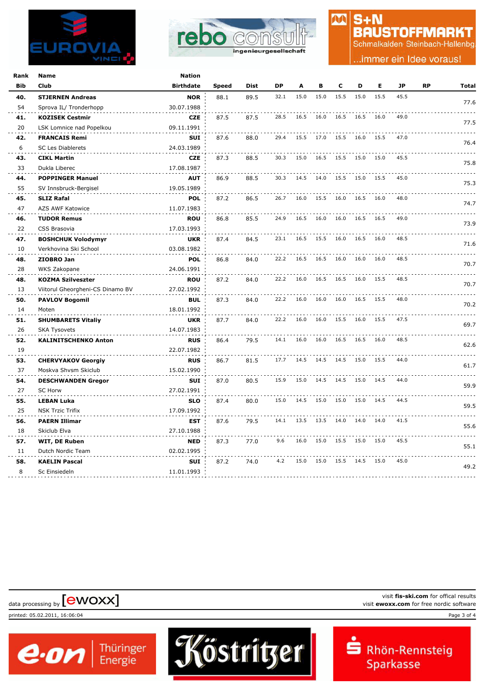



### $S + N$ **BAUSTOFFMARKT**

M

Schmalkalden Steinbach-Hallenbg

.immer ein Idee voraus!

| Rank | Name                             | Nation           |              |      |      |      |           |                          |           |      |      |    |       |
|------|----------------------------------|------------------|--------------|------|------|------|-----------|--------------------------|-----------|------|------|----|-------|
| Bib  | Club                             | <b>Birthdate</b> | <b>Speed</b> | Dist | DP   | A    | в         | C                        | D         | Е    | JP   | RP | Total |
| 40.  | <b>STJERNEN Andreas</b>          | <b>NOR</b>       | 88.1         | 89.5 | 32.1 | 15.0 | 15.0      | 15.5                     | 15.0      | 15.5 | 45.5 |    |       |
| 54   | Sprova IL/ Tronderhopp           | 30.07.1988       |              |      |      |      |           |                          |           |      |      |    | 77.6  |
| 41.  | <b>KOZISEK Cestmir</b>           | <b>CZE</b>       | 87.5         | 87.5 | 28.5 | 16.5 | 16.0      | 16.5                     | 16.5      | 16.0 | 49.0 |    |       |
| 20   | LSK Lomnice nad Popelkou         | 09.11.1991       |              |      |      |      |           |                          |           |      |      |    | 77.5  |
| 42.  | <b>FRANCAIS Remi</b>             | <b>SUI</b>       | 87.6         | 88.0 | 29.4 | 15.5 | 17.0      | 15.5                     | 16.0      | 15.5 | 47.0 |    |       |
| 6    | <b>SC Les Diablerets</b>         | 24.03.1989       |              |      |      |      |           |                          |           |      |      |    | 76.4  |
| 43.  | <b>CIKL Martin</b>               | <b>CZE</b>       | 87.3         | 88.5 | 30.3 | 15.0 | 16.5      | 15.5                     | 15.0 15.0 |      | 45.5 |    |       |
| 33   | Dukla Liberec                    | 17.08.1987       |              |      |      |      |           |                          |           |      |      |    | 75.8  |
| 44.  | <b>POPPINGER Manuel</b>          | <b>AUT</b>       | 86.9         | 88.5 | 30.3 |      |           | 14.5 14.0 15.5 15.0 15.5 |           |      | 45.0 |    |       |
| 55   | SV Innsbruck-Bergisel            | 19.05.1989       |              |      |      |      |           |                          |           |      |      |    | 75.3  |
| 45.  | <b>SLIZ Rafal</b>                | <b>POL</b>       | 87.2         | 86.5 | 26.7 | 16.0 | 15.5      | 16.0                     | 16.5      | 16.0 | 48.0 |    |       |
| 47   | AZS AWF Katowice                 | 11.07.1983       |              |      |      |      |           |                          |           |      |      |    | 74.7  |
| 46.  | <b>TUDOR Remus</b>               | <b>ROU</b>       | 86.8         | 85.5 | 24.9 | 16.5 | 16.0      | 16.0                     | 16.5      | 16.5 | 49.0 |    |       |
| 22   | CSS Brasovia                     | 17.03.1993       |              |      |      |      |           |                          |           |      |      |    | 73.9  |
| 47.  | <b>BOSHCHUK Volodymyr</b>        | <b>UKR</b>       | 87.4         | 84.5 | 23.1 | 16.5 | 15.5      | 16.0                     | 16.5 16.0 |      | 48.5 |    |       |
| 10   | Verkhovina Ski School            | 03.08.1982       |              |      |      |      |           |                          |           |      |      |    | 71.6  |
| 48.  | ZIOBRO Jan                       | <b>POL</b>       | 86.8         | 84.0 | 22.2 | 16.5 | 16.5      | 16.0                     | 16.0      | 16.0 | 48.5 |    | 70.7  |
| 28   | WKS Zakopane                     | 24.06.1991       |              |      |      |      |           |                          |           |      |      |    |       |
| 48.  | <b>KOZMA Szilveszter</b>         | <b>ROU</b>       | 87.2         | 84.0 | 22.2 | 16.0 | 16.5      | 16.5                     | 16.0      | 15.5 | 48.5 |    |       |
| 13   | Viitorul Gheorgheni-CS Dinamo BV | 27.02.1992       |              |      |      |      |           |                          |           |      |      |    | 70.7  |
| 50.  | <b>PAVLOV Bogomil</b>            | <b>BUL</b>       | 87.3         | 84.0 | 22.2 | 16.0 | 16.0      | 16.0                     | 16.5      | 15.5 | 48.0 |    | 70.2  |
| 14   | Moten                            | 18.01.1992       |              |      |      |      |           |                          |           |      |      |    |       |
| 51.  | <b>SHUMBARETS Vitaliy</b>        | <b>UKR</b>       | 87.7         | 84.0 | 22.2 | 16.0 | 16.0 15.5 |                          | 16.0 15.5 |      | 47.5 |    | 69.7  |
| 26   | <b>SKA Tysovets</b>              | 14.07.1983       |              |      |      |      |           |                          |           |      |      |    |       |
| 52.  | <b>KALINITSCHENKO Anton</b>      | <b>RUS</b>       | 86.4         | 79.5 | 14.1 | 16.0 | 16.0      | 16.5                     | 16.5      | 16.0 | 48.5 |    | 62.6  |
| 19   |                                  | 22.07.1982       |              |      |      |      |           |                          |           |      |      |    |       |
| 53.  | <b>CHERVYAKOV Georgiy</b>        | <b>RUS</b>       | 86.7         | 81.5 | 17.7 | 14.5 | 14.5      | 14.5                     | 15.0 15.5 |      | 44.0 |    | 61.7  |
| 37   | Moskva Shvsm Skiclub             | 15.02.1990       |              |      |      |      |           |                          |           |      |      |    |       |
| 54.  | <b>DESCHWANDEN Gregor</b>        | SUI              | 87.0         | 80.5 | 15.9 | 15.0 | 14.5      | 14.5                     | 15.0 14.5 |      | 44.0 |    | 59.9  |
| 27   | <b>SC Horw</b>                   | 27.02.1991       |              |      |      |      |           |                          |           |      |      |    |       |
| 55.  | <b>LEBAN Luka</b>                | <b>SLO</b>       | 87.4         | 80.0 | 15.0 | 14.5 | 15.0 15.0 |                          | 15.0 14.5 |      | 44.5 |    | 59.5  |
| 25   | <b>NSK Trzic Trifix</b>          | 17.09.1992       |              |      |      |      |           |                          |           |      |      |    |       |
| 56.  | <b>PAERN Illimar</b>             | <b>EST</b>       | 87.6         | 79.5 | 14.1 | 13.5 | 13.5      | 14.0                     | 14.0      | 14.0 | 41.5 |    | 55.6  |
| 18   | Skiclub Elva                     | 27.10.1988       |              |      |      |      |           |                          |           |      |      |    |       |
| 57.  | WIT, DE Ruben                    | <b>NED</b>       | 87.3         | 77.0 | 9.6  | 16.0 | 15.0      | 15.5                     | 15.0      | 15.0 | 45.5 |    | 55.1  |
| 11   | Dutch Nordic Team                | 02.02.1995       |              |      |      |      |           |                          |           |      |      |    |       |
| 58.  | <b>KAELIN Pascal</b>             | SUI              | 87.2         | 74.0 | 4.2  | 15.0 | 15.0 15.5 |                          | 14.5      | 15.0 | 45.0 |    | 49.2  |
| 8    | Sc Einsiedeln                    | 11.01.1993       |              |      |      |      |           |                          |           |      |      |    |       |
|      |                                  |                  |              |      |      |      |           |                          |           |      |      |    |       |

Köstritzer

printed: 05.02.2011, 16:06:04 Page 3 of 4

visit **fis-ski.com** for offical results visit fis-ski.com for offical results<br>visit **ewoxx.com** for free nordic software<br>visit **ewoxx.com** for free nordic software